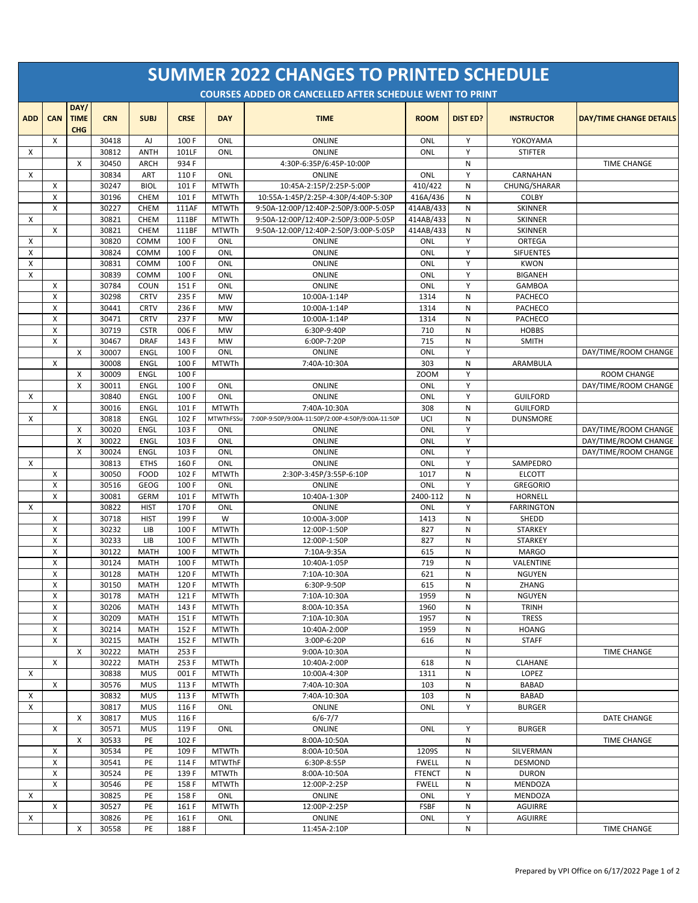| <b>SUMMER 2022 CHANGES TO PRINTED SCHEDULE</b><br><b>COURSES ADDED OR CANCELLED AFTER SCHEDULE WENT TO PRINT</b> |                                |                                   |                |                            |                |                              |                                                   |                    |                 |                              |                                              |
|------------------------------------------------------------------------------------------------------------------|--------------------------------|-----------------------------------|----------------|----------------------------|----------------|------------------------------|---------------------------------------------------|--------------------|-----------------|------------------------------|----------------------------------------------|
| <b>ADD</b>                                                                                                       | CAN                            | DAY/<br><b>TIME</b><br><b>CHG</b> | <b>CRN</b>     | <b>SUBJ</b>                | <b>CRSE</b>    | <b>DAY</b>                   | <b>TIME</b>                                       | <b>ROOM</b>        | <b>DIST ED?</b> | <b>INSTRUCTOR</b>            | <b>DAY/TIME CHANGE DETAILS</b>               |
|                                                                                                                  | X                              |                                   | 30418          | AJ                         | 100 F          | ONL                          | <b>ONLINE</b>                                     | ONL                | Y               | YOKOYAMA                     |                                              |
| X                                                                                                                |                                |                                   | 30812          | <b>ANTH</b>                | 101LF          | ONL                          | <b>ONLINE</b>                                     | ONL                | Y               | <b>STIFTER</b>               |                                              |
| X                                                                                                                |                                | $\mathsf{x}$                      | 30450<br>30834 | <b>ARCH</b><br>ART         | 934 F<br>110 F | ONL                          | 4:30P-6:35P/6:45P-10:00P<br>ONLINE                | <b>ONL</b>         | N<br>Y          | CARNAHAN                     | <b>TIME CHANGE</b>                           |
|                                                                                                                  | Х                              |                                   | 30247          | <b>BIOL</b>                | 101 F          | <b>MTWTh</b>                 | 10:45A-2:15P/2:25P-5:00P                          | 410/422            | N               | CHUNG/SHARAR                 |                                              |
|                                                                                                                  | Х                              |                                   | 30196          | <b>CHEM</b>                | 101 F          | <b>MTWTh</b>                 | 10:55A-1:45P/2:25P-4:30P/4:40P-5:30P              | 416A/436           | N               | COLBY                        |                                              |
|                                                                                                                  | X                              |                                   | 30227          | CHEM                       | 111AF          | <b>MTWTh</b>                 | 9:50A-12:00P/12:40P-2:50P/3:00P-5:05P             | 414AB/433          | N               | <b>SKINNER</b>               |                                              |
| X                                                                                                                |                                |                                   | 30821          | <b>CHEM</b>                | 111BF          | <b>MTWTh</b>                 | 9:50A-12:00P/12:40P-2:50P/3:00P-5:05P             | 414AB/433          | N               | <b>SKINNER</b>               |                                              |
|                                                                                                                  | X                              |                                   | 30821          | <b>CHEM</b>                | 111BF          | <b>MTWTh</b>                 | 9:50A-12:00P/12:40P-2:50P/3:00P-5:05P             | 414AB/433          | N               | <b>SKINNER</b>               |                                              |
| Х<br>X                                                                                                           |                                |                                   | 30820<br>30824 | COMM<br>COMM               | 100 F<br>100 F | ONL<br>ONL                   | <b>ONLINE</b><br>ONLINE                           | ONL<br>ONL         | Y<br>Y          | ORTEGA<br><b>SIFUENTES</b>   |                                              |
| X                                                                                                                |                                |                                   | 30831          | COMM                       | 100 F          | ONL                          | ONLINE                                            | ONL                | Y               | <b>KWON</b>                  |                                              |
| X                                                                                                                |                                |                                   | 30839          | COMM                       | 100 F          | ONL                          | ONLINE                                            | ONL                | Y               | <b>BIGANEH</b>               |                                              |
|                                                                                                                  | X                              |                                   | 30784          | COUN                       | 151 F          | ONL                          | ONLINE                                            | ONL                | Y               | <b>GAMBOA</b>                |                                              |
|                                                                                                                  | $\boldsymbol{\mathsf{X}}$      |                                   | 30298          | <b>CRTV</b>                | 235 F          | <b>MW</b>                    | 10:00A-1:14P                                      | 1314               | N               | PACHECO                      |                                              |
|                                                                                                                  | $\boldsymbol{\mathsf{X}}$      |                                   | 30441          | <b>CRTV</b>                | 236 F          | <b>MW</b>                    | 10:00A-1:14P                                      | 1314               | N               | PACHECO                      |                                              |
|                                                                                                                  | X                              |                                   | 30471          | <b>CRTV</b>                | 237 F          | <b>MW</b>                    | 10:00A-1:14P                                      | 1314               | N               | PACHECO                      |                                              |
|                                                                                                                  | X                              |                                   | 30719          | <b>CSTR</b>                | 006 F          | <b>MW</b>                    | 6:30P-9:40P                                       | 710                | N               | <b>HOBBS</b>                 |                                              |
|                                                                                                                  | X                              | X                                 | 30467<br>30007 | <b>DRAF</b><br><b>ENGL</b> | 143 F<br>100 F | <b>MW</b><br>ONL             | 6:00P-7:20P<br>ONLINE                             | 715<br>ONL         | N<br>Y          | <b>SMITH</b>                 | DAY/TIME/ROOM CHANGE                         |
|                                                                                                                  | X                              |                                   | 30008          | <b>ENGL</b>                | 100 F          | <b>MTWTh</b>                 | 7:40A-10:30A                                      | 303                | N               | ARAMBULA                     |                                              |
|                                                                                                                  |                                | X                                 | 30009          | ENGL                       | 100 F          |                              |                                                   | ZOOM               | Y               |                              | <b>ROOM CHANGE</b>                           |
|                                                                                                                  |                                | X                                 | 30011          | <b>ENGL</b>                | 100 F          | ONL                          | ONLINE                                            | ONL                | Y               |                              | DAY/TIME/ROOM CHANGE                         |
| X                                                                                                                |                                |                                   | 30840          | ENGL                       | 100 F          | ONL                          | ONLINE                                            | ONL                | Y               | <b>GUILFORD</b>              |                                              |
|                                                                                                                  | X                              |                                   | 30016          | <b>ENGL</b>                | 101 F          | <b>MTWTh</b>                 | 7:40A-10:30A                                      | 308                | N               | <b>GUILFORD</b>              |                                              |
| Χ                                                                                                                |                                |                                   | 30818          | <b>ENGL</b>                | 102 F          | <b>MTWThFSSu</b>             | 7:00P-9:50P/9:00A-11:50P/2:00P-4:50P/9:00A-11:50P | UCI                | N               | <b>DUNSMORE</b>              |                                              |
|                                                                                                                  |                                | X<br>X                            | 30020<br>30022 | ENGL<br>ENGL               | 103 F<br>103 F | ONL<br>ONL                   | ONLINE                                            | ONL<br>ONL         | Y<br>Y          |                              | DAY/TIME/ROOM CHANGE<br>DAY/TIME/ROOM CHANGE |
|                                                                                                                  |                                | X                                 | 30024          | ENGL                       | 103 F          | ONL                          | ONLINE<br>ONLINE                                  | ONL                | Y               |                              | DAY/TIME/ROOM CHANGE                         |
| X                                                                                                                |                                |                                   | 30813          | <b>ETHS</b>                | 160 F          | ONL                          | ONLINE                                            | ONL                | Y               | SAMPEDRO                     |                                              |
|                                                                                                                  | Х                              |                                   | 30050          | <b>FOOD</b>                | 102 F          | <b>MTWTh</b>                 | 2:30P-3:45P/3:55P-6:10P                           | 1017               | N               | <b>ELCOTT</b>                |                                              |
|                                                                                                                  | X                              |                                   | 30516          | <b>GEOG</b>                | 100 F          | ONL                          | ONLINE                                            | ONL                | Y               | <b>GREGORIO</b>              |                                              |
|                                                                                                                  | $\boldsymbol{\mathsf{X}}$      |                                   | 30081          | <b>GERM</b>                | 101 F          | <b>MTWTh</b>                 | 10:40A-1:30P                                      | 2400-112           | N               | <b>HORNELL</b>               |                                              |
| X                                                                                                                |                                |                                   | 30822          | <b>HIST</b>                | 170 F          | ONL                          | ONLINE                                            | ONL                | Y               | <b>FARRINGTON</b>            |                                              |
|                                                                                                                  | Χ                              |                                   | 30718          | <b>HIST</b><br>LIB         | 199 F          | W                            | 10:00A-3:00P                                      | 1413               | N<br>N          | SHEDD<br><b>STARKEY</b>      |                                              |
|                                                                                                                  | X<br>$\boldsymbol{\mathsf{X}}$ |                                   | 30232<br>30233 | LIB                        | 100 F<br>100 F | <b>MTWTh</b><br><b>MTWTh</b> | 12:00P-1:50P<br>12:00P-1:50P                      | 827<br>827         | N               | <b>STARKEY</b>               |                                              |
|                                                                                                                  | X                              |                                   | 30122          | <b>MATH</b>                | 100 F          | <b>MTWTh</b>                 | 7:10A-9:35A                                       | 615                | N               | <b>MARGO</b>                 |                                              |
|                                                                                                                  | $\boldsymbol{\mathsf{X}}$      |                                   | 30124          | <b>MATH</b>                | 100 F          | <b>MTWTh</b>                 | 10:40A-1:05P                                      | 719                | N               | VALENTINE                    |                                              |
|                                                                                                                  | х                              |                                   | 30128          | <b>MATH</b>                | 120 F          | <b>MTWTh</b>                 | 7:10A-10:30A                                      | 621                | Ν               | <b>NGUYEN</b>                |                                              |
|                                                                                                                  | X                              |                                   | 30150          | <b>MATH</b>                | 120 F          | <b>MTWTh</b>                 | 6:30P-9:50P                                       | 615                | N               | ZHANG                        |                                              |
|                                                                                                                  | X                              |                                   | 30178          | <b>MATH</b>                | 121 F          | <b>MTWTh</b>                 | 7:10A-10:30A                                      | 1959               | N               | <b>NGUYEN</b>                |                                              |
|                                                                                                                  | X                              |                                   | 30206          | <b>MATH</b>                | 143 F          | <b>MTWTh</b>                 | 8:00A-10:35A                                      | 1960               | N               | <b>TRINH</b>                 |                                              |
|                                                                                                                  | х<br>X                         |                                   | 30209<br>30214 | <b>MATH</b><br><b>MATH</b> | 151 F<br>152 F | <b>MTWTh</b><br><b>MTWTh</b> | 7:10A-10:30A<br>10:40A-2:00P                      | 1957<br>1959       | N<br>N          | <b>TRESS</b><br><b>HOANG</b> |                                              |
|                                                                                                                  | Х                              |                                   | 30215          | <b>MATH</b>                | 152 F          | <b>MTWTh</b>                 | 3:00P-6:20P                                       | 616                | N               | <b>STAFF</b>                 |                                              |
|                                                                                                                  |                                | X                                 | 30222          | <b>MATH</b>                | 253 F          |                              | 9:00A-10:30A                                      |                    | N               |                              | <b>TIME CHANGE</b>                           |
|                                                                                                                  | х                              |                                   | 30222          | MATH                       | 253 F          | <b>MTWTh</b>                 | 10:40A-2:00P                                      | 618                | Ν               | <b>CLAHANE</b>               |                                              |
| Χ                                                                                                                |                                |                                   | 30838          | <b>MUS</b>                 | 001 F          | <b>MTWTh</b>                 | 10:00A-4:30P                                      | 1311               | N               | LOPEZ                        |                                              |
|                                                                                                                  | X                              |                                   | 30576          | <b>MUS</b>                 | 113 F          | <b>MTWTh</b>                 | 7:40A-10:30A                                      | 103                | N               | BABAD                        |                                              |
| Χ                                                                                                                |                                |                                   | 30832          | <b>MUS</b>                 | 113 F          | <b>MTWTh</b>                 | 7:40A-10:30A                                      | 103                | N               | <b>BABAD</b>                 |                                              |
| X                                                                                                                |                                | X                                 | 30817<br>30817 | <b>MUS</b><br><b>MUS</b>   | 116 F<br>116 F | ONL                          | ONLINE                                            | ONL                | Υ               | <b>BURGER</b>                | <b>DATE CHANGE</b>                           |
|                                                                                                                  | Х                              |                                   | 30571          | <b>MUS</b>                 | 119 F          | ONL                          | $6/6 - 7/7$<br>ONLINE                             | ONL                | Υ               | <b>BURGER</b>                |                                              |
|                                                                                                                  |                                | X                                 | 30533          | PE                         | 102 F          |                              | 8:00A-10:50A                                      |                    | N               |                              | TIME CHANGE                                  |
|                                                                                                                  | X                              |                                   | 30534          | PE                         | 109 F          | <b>MTWTh</b>                 | 8:00A-10:50A                                      | 1209S              | N               | SILVERMAN                    |                                              |
|                                                                                                                  | X                              |                                   | 30541          | PE                         | 114 F          | <b>MTWThF</b>                | 6:30P-8:55P                                       | <b>FWELL</b>       | N               | DESMOND                      |                                              |
|                                                                                                                  | X                              |                                   | 30524          | PE                         | 139 F          | <b>MTWTh</b>                 | 8:00A-10:50A                                      | <b>FTENCT</b>      | N               | <b>DURON</b>                 |                                              |
|                                                                                                                  | X                              |                                   | 30546          | PE                         | 158 F          | <b>MTWTh</b>                 | 12:00P-2:25P                                      | <b>FWELL</b>       | N               | MENDOZA                      |                                              |
| X                                                                                                                |                                |                                   | 30825          | PE                         | 158 F          | ONL                          | ONLINE                                            | ONL                | Υ               | MENDOZA                      |                                              |
| х                                                                                                                | X                              |                                   | 30527<br>30826 | PE<br>PE                   | 161 F<br>161 F | <b>MTWTh</b><br>ONL          | 12:00P-2:25P<br>ONLINE                            | <b>FSBF</b><br>ONL | N<br>Y          | AGUIRRE<br><b>AGUIRRE</b>    |                                              |
|                                                                                                                  |                                | X                                 | 30558          | PE                         | 188 F          |                              | 11:45A-2:10P                                      |                    | N               |                              | <b>TIME CHANGE</b>                           |
|                                                                                                                  |                                |                                   |                |                            |                |                              |                                                   |                    |                 |                              |                                              |